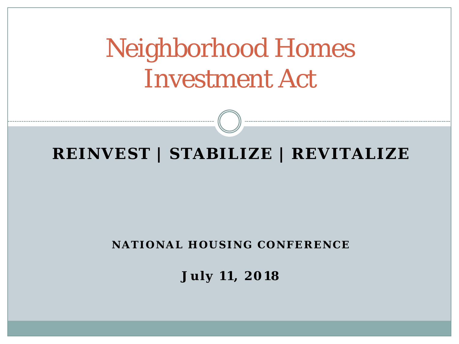# Neighborhood Homes Investment Act

#### **REINVEST | STABILIZE | REVITALIZE**

#### **NATIONAL HOUSING CONFERENCE**

**July 11, 2018**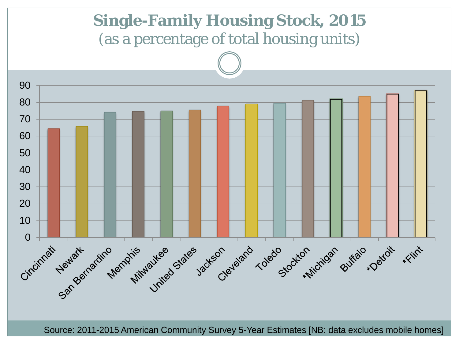## **Single-Family Housing Stock, 2015** (as a percentage of total housing units) Sangaritatori Memphis Julied States Jackson Cleveland Checken Michigan Buttalo Patroit . Kint

Source: 2011-2015 American Community Survey 5-Year Estimates [NB: data excludes mobile homes]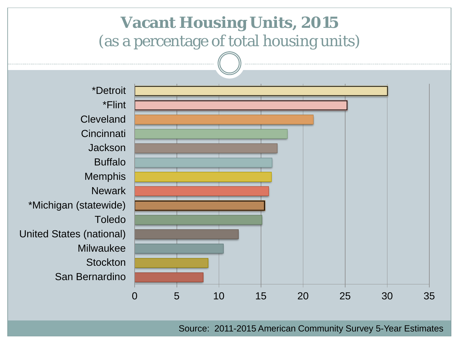

Source: 2011-2015 American Community Survey 5-Year Estimates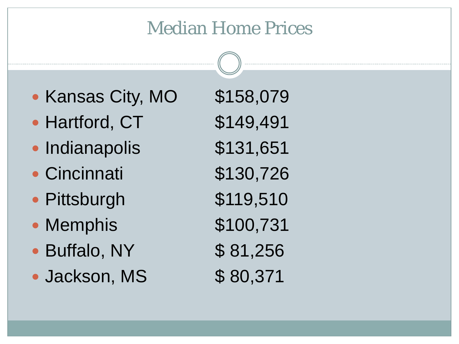#### Median Home Prices

- Kansas City, MO \$158,079
- Hartford, CT \$149,491
- Indianapolis \$131,651
- Cincinnati \$130,726
- Pittsburgh \$119,510
- Memphis \$100,731
- Buffalo, NY \$81,256
- Jackson, MS  $$80,371$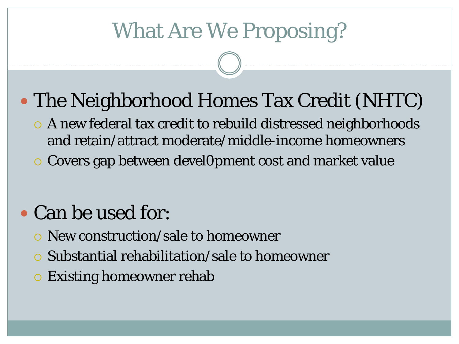## What Are We Proposing?

#### The Neighborhood Homes Tax Credit (NHTC)

- A new federal tax credit to rebuild distressed neighborhoods and retain/attract moderate/middle-income homeowners
- Covers gap between devel0pment cost and market value

#### • Can be used for:

- New construction/sale to homeowner
- Substantial rehabilitation/sale to homeowner
- Existing homeowner rehab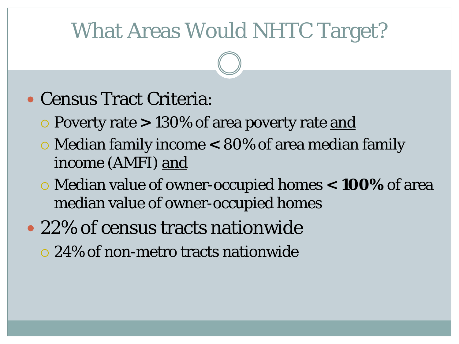## What Areas Would NHTC Target?

- Census Tract Criteria:
	- Poverty rate **>** 130% of area poverty rate and
	- Median family income **<** 80% of area median family income (AMFI) and
	- Median value of owner-occupied homes **< 100%** of area median value of owner-occupied homes
- 22% of census tracts nationwide
	- 24% of non-metro tracts nationwide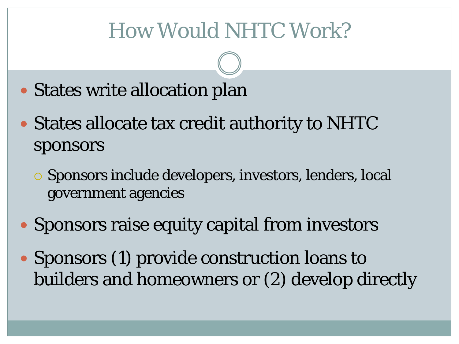## How Would NHTC Work?

- States write allocation plan
- States allocate tax credit authority to NHTC sponsors
	- Sponsors include developers, investors, lenders, local government agencies
- Sponsors raise equity capital from investors
- Sponsors (1) provide construction loans to builders and homeowners or (2) develop directly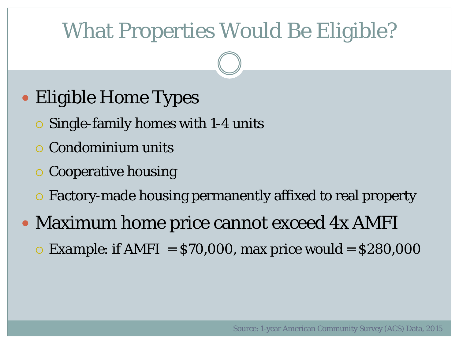### What Properties Would Be Eligible?

- Eligible Home Types
	- Single-family homes with 1-4 units
	- Condominium units
	- Cooperative housing
	- Factory-made housing permanently affixed to real property
- Maximum home price cannot exceed 4x AMFI
	- *Example*: if AMFI = \$70,000, max price would = \$280,000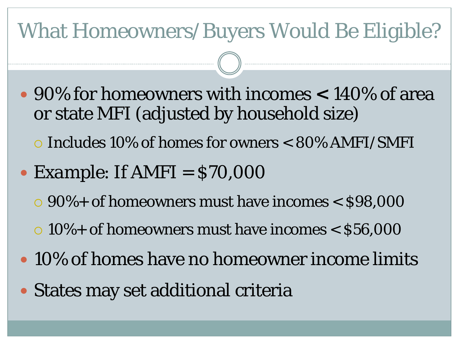### What Homeowners/Buyers Would Be Eligible?

- 90% for homeowners with incomes **<** 140% of area or state MFI (adjusted by household size)
	- Includes 10% of homes for owners < 80% AMFI/SMFI
- *Example*: If AMFI = \$70,000
	- $\circ$  90%+ of homeowners must have incomes  $<$  \$98,000
	- $\circ$  10%+ of homeowners must have incomes  $<$  \$56,000
- 10% of homes have no homeowner income limits
- States may set additional criteria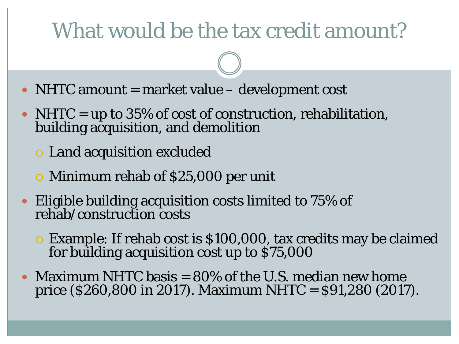#### What would be the tax credit amount?

- NHTC amount = market value development cost
- NHTC = up to 35% of cost of construction, rehabilitation, building acquisition, and demolition
	- Land acquisition excluded
	- Minimum rehab of \$25,000 per unit
- Eligible building acquisition costs limited to 75% of rehab/construction costs
	- Example: If rehab cost is \$100,000, tax credits may be claimed for building acquisition cost up to \$75,000
- Maximum NHTC basis = 80% of the U.S. median new home price (\$260,800 in 2017). Maximum NHTC = \$91,280 (2017).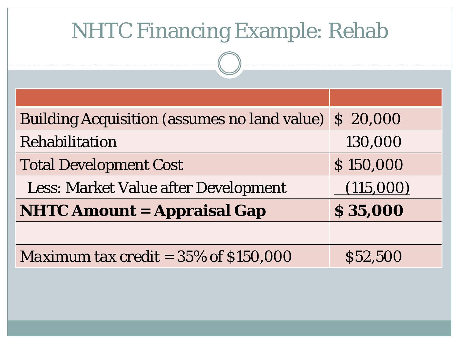| <b>NHTC Financing Example: Rehab</b>                |           |  |
|-----------------------------------------------------|-----------|--|
|                                                     |           |  |
| <b>Building Acquisition (assumes no land value)</b> | \$ 20,000 |  |
| Rehabilitation                                      | 130,000   |  |
| <b>Total Development Cost</b>                       | \$150,000 |  |
| Less: Market Value after Development                | (115,000) |  |
| <b>NHTC Amount = Appraisal Gap</b>                  | \$35,000  |  |
|                                                     |           |  |
| Maximum tax credit = $35\%$ of \$150,000            | \$52,500  |  |
|                                                     |           |  |
|                                                     |           |  |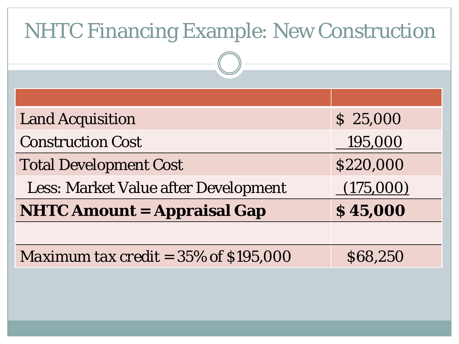| <b>NHTC Financing Example: New Construction</b> |           |  |
|-------------------------------------------------|-----------|--|
|                                                 |           |  |
| <b>Land Acquisition</b>                         | \$ 25,000 |  |
| <b>Construction Cost</b>                        | 195,000   |  |
| <b>Total Development Cost</b>                   | \$220,000 |  |
| <b>Less: Market Value after Development</b>     | (175,000) |  |
| <b>NHTC Amount = Appraisal Gap</b>              | \$45,000  |  |
|                                                 |           |  |
| Maximum tax credit = $35\%$ of \$195,000        | \$68,250  |  |
|                                                 |           |  |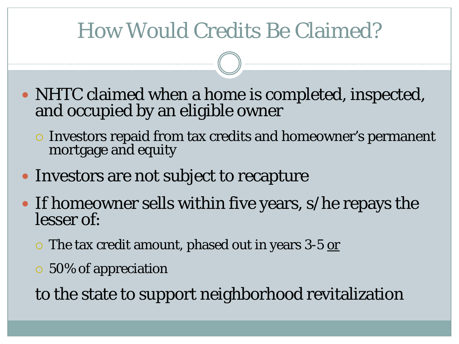## How Would Credits Be Claimed?

- NHTC claimed when a home is completed, inspected, and occupied by an eligible owner
	- Investors repaid from tax credits and homeowner's permanent mortgage and equity
- Investors are not subject to recapture
- If homeowner sells within five years, s/he repays the lesser of:
	- The tax credit amount, phased out in years 3-5 or
	- 50% of appreciation
	- to the state to support neighborhood revitalization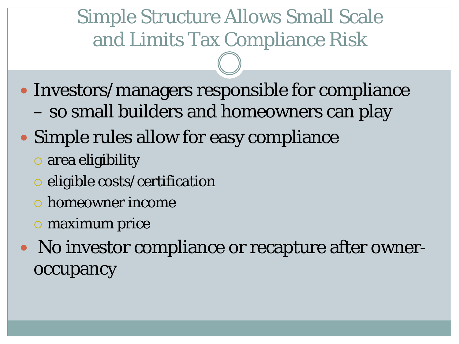Simple Structure Allows Small Scale and Limits Tax Compliance Risk

- Investors/managers responsible for compliance – so small builders and homeowners can play
- Simple rules allow for easy compliance
	- area eligibility
	- o eligible costs/certification
	- homeowner income
	- o maximum price
- No investor compliance or recapture after owneroccupancy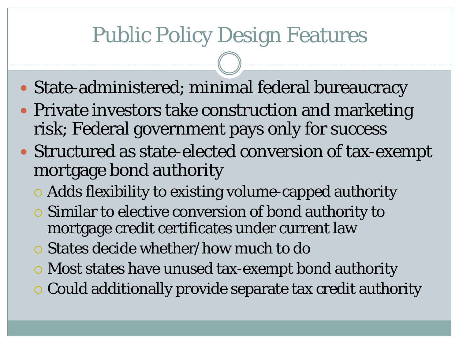#### Public Policy Design Features

- State-administered; minimal federal bureaucracy
- Private investors take construction and marketing risk; Federal government pays only for success
- Structured as state-elected conversion of tax-exempt mortgage bond authority
	- Adds flexibility to existing volume-capped authority
	- Similar to elective conversion of bond authority to mortgage credit certificates under current law
	- States decide whether/how much to do
	- Most states have unused tax-exempt bond authority
	- Could additionally provide separate tax credit authority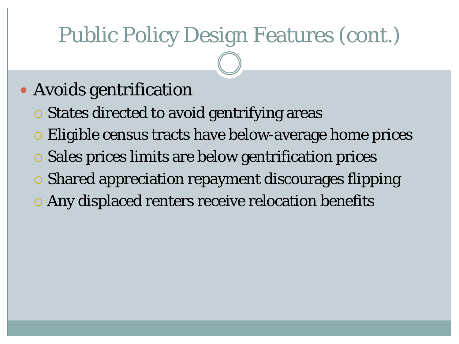#### Public Policy Design Features (cont.)

#### Avoids gentrification

- States directed to avoid gentrifying areas
- Eligible census tracts have below-average home prices
- Sales prices limits are below gentrification prices
- Shared appreciation repayment discourages flipping
- Any displaced renters receive relocation benefits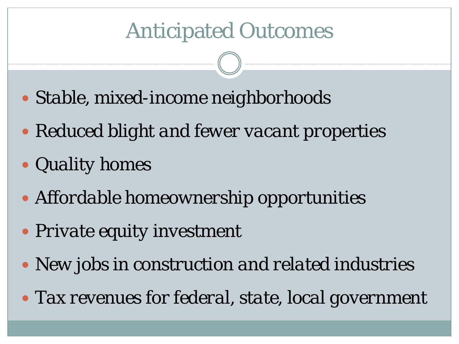#### Anticipated Outcomes

- *Stable, mixed-income neighborhoods*
- *Reduced blight and fewer vacant prop*erties
- *Quality homes*
- *Affordable homeownership opportunities*
- *Private equity investment*
- *New jobs in construction and related industries*
- *Tax revenues for federal, state, local government*